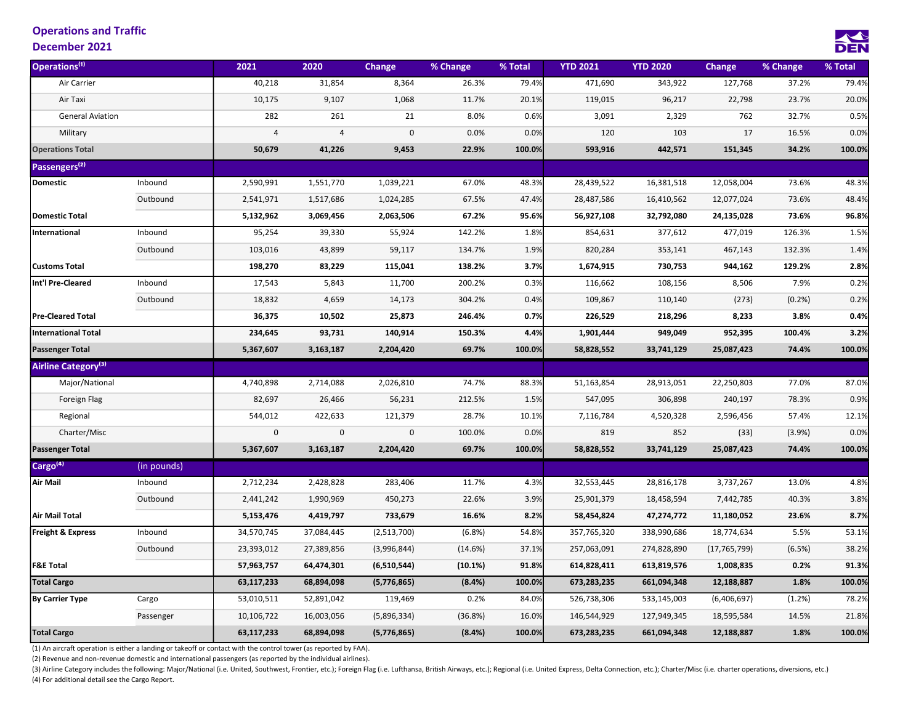### Operations and Traffic

### December 2021



| Operations <sup>(1)</sup>       |             | 2021           | 2020           | <b>Change</b>       | $%$ Change | % Total | <b>YTD 2021</b> | <b>YTD 2020</b> | Change         | % Change | % Total |
|---------------------------------|-------------|----------------|----------------|---------------------|------------|---------|-----------------|-----------------|----------------|----------|---------|
| Air Carrier                     |             | 40,218         | 31,854         | 8,364               | 26.3%      | 79.4%   | 471,690         | 343,922         | 127,768        | 37.2%    | 79.4%   |
| Air Taxi                        |             | 10,175         | 9,107          | 1,068               | 11.7%      | 20.1%   | 119,015         | 96,217          | 22,798         | 23.7%    | 20.0%   |
| <b>General Aviation</b>         |             | 282            | 261            | 21                  | 8.0%       | 0.6%    | 3,091           | 2,329           | 762            | 32.7%    | 0.5%    |
| Military                        |             | $\overline{4}$ | $\overline{4}$ | $\pmb{0}$           | 0.0%       | 0.0%    | 120             | 103             | 17             | 16.5%    | 0.0%    |
| <b>Operations Total</b>         |             | 50,679         | 41,226         | 9,453               | 22.9%      | 100.0%  | 593,916         | 442,571         | 151,345        | 34.2%    | 100.0%  |
| Passengers <sup>(2)</sup>       |             |                |                |                     |            |         |                 |                 |                |          |         |
| <b>Domestic</b>                 | Inbound     | 2,590,991      | 1,551,770      | 1,039,221           | 67.0%      | 48.3%   | 28,439,522      | 16,381,518      | 12,058,004     | 73.6%    | 48.3%   |
|                                 | Outbound    | 2,541,971      | 1,517,686      | 1,024,285           | 67.5%      | 47.4%   | 28,487,586      | 16,410,562      | 12,077,024     | 73.6%    | 48.4%   |
| <b>Domestic Total</b>           |             | 5,132,962      | 3,069,456      | 2,063,506           | 67.2%      | 95.6%   | 56,927,108      | 32,792,080      | 24,135,028     | 73.6%    | 96.8%   |
| International                   | Inbound     | 95,254         | 39,330         | 55,924              | 142.2%     | 1.8%    | 854,631         | 377,612         | 477,019        | 126.3%   | 1.5%    |
|                                 | Outbound    | 103,016        | 43,899         | 59,117              | 134.7%     | 1.9%    | 820,284         | 353,141         | 467,143        | 132.3%   | 1.4%    |
| <b>Customs Total</b>            |             | 198,270        | 83,229         | 115,041             | 138.2%     | 3.7%    | 1,674,915       | 730,753         | 944,162        | 129.2%   | 2.8%    |
| Int'l Pre-Cleared               | Inbound     | 17,543         | 5,843          | 11,700              | 200.2%     | 0.3%    | 116,662         | 108,156         | 8,506          | 7.9%     | 0.2%    |
|                                 | Outbound    | 18,832         | 4,659          | 14,173              | 304.2%     | 0.4%    | 109,867         | 110,140         | (273)          | (0.2%    | 0.2%    |
| <b>Pre-Cleared Total</b>        |             | 36,375         | 10,502         | 25,873              | 246.4%     | 0.7%    | 226,529         | 218,296         | 8,233          | 3.8%     | 0.4%    |
| <b>International Total</b>      |             | 234,645        | 93,731         | 140,914             | 150.3%     | 4.4%    | 1,901,444       | 949,049         | 952,395        | 100.4%   | 3.2%    |
| <b>Passenger Total</b>          |             | 5,367,607      | 3,163,187      | 2,204,420           | 69.7%      | 100.0%  | 58,828,552      | 33,741,129      | 25,087,423     | 74.4%    | 100.0%  |
| Airline Category <sup>(3)</sup> |             |                |                |                     |            |         |                 |                 |                |          |         |
| Major/National                  |             | 4,740,898      | 2,714,088      | 2,026,810           | 74.7%      | 88.3%   | 51,163,854      | 28,913,051      | 22,250,803     | 77.0%    | 87.0%   |
| Foreign Flag                    |             | 82,697         | 26,466         | 56,231              | 212.5%     | 1.5%    | 547,095         | 306,898         | 240,197        | 78.3%    | 0.9%    |
| Regional                        |             | 544,012        | 422,633        | 121,379             | 28.7%      | 10.1%   | 7,116,784       | 4,520,328       | 2,596,456      | 57.4%    | 12.1%   |
| Charter/Misc                    |             | $\mathbf 0$    | $\mathbf 0$    | $\mathsf{O}\xspace$ | 100.0%     | 0.0%    | 819             | 852             | (33)           | (3.9%)   | 0.0%    |
| <b>Passenger Total</b>          |             | 5,367,607      | 3,163,187      | 2,204,420           | 69.7%      | 100.0%  | 58,828,552      | 33,741,129      | 25,087,423     | 74.4%    | 100.0%  |
| Cargo <sup>(4)</sup>            | (in pounds) |                |                |                     |            |         |                 |                 |                |          |         |
| <b>Air Mail</b>                 | Inbound     | 2,712,234      | 2,428,828      | 283,406             | 11.7%      | 4.3%    | 32,553,445      | 28,816,178      | 3,737,267      | 13.0%    | 4.8%    |
|                                 | Outbound    | 2,441,242      | 1,990,969      | 450,273             | 22.6%      | 3.9%    | 25,901,379      | 18,458,594      | 7,442,785      | 40.3%    | 3.8%    |
| <b>Air Mail Total</b>           |             | 5,153,476      | 4,419,797      | 733,679             | 16.6%      | 8.2%    | 58,454,824      | 47,274,772      | 11,180,052     | 23.6%    | 8.7%    |
| Freight & Express               | Inbound     | 34,570,745     | 37,084,445     | (2,513,700)         | (6.8%)     | 54.8%   | 357,765,320     | 338,990,686     | 18,774,634     | 5.5%     | 53.1%   |
|                                 | Outbound    | 23,393,012     | 27,389,856     | (3,996,844)         | (14.6%)    | 37.1%   | 257,063,091     | 274,828,890     | (17, 765, 799) | (6.5%)   | 38.2%   |
| <b>F&amp;E Total</b>            |             | 57,963,757     | 64,474,301     | (6,510,544)         | (10.1%)    | 91.8%   | 614,828,411     | 613,819,576     | 1,008,835      | 0.2%     | 91.3%   |
| <b>Total Cargo</b>              |             | 63,117,233     | 68,894,098     | (5,776,865)         | (8.4%)     | 100.0%  | 673,283,235     | 661,094,348     | 12,188,887     | 1.8%     | 100.0%  |
| <b>By Carrier Type</b>          | Cargo       | 53,010,511     | 52,891,042     | 119,469             | 0.2%       | 84.0%   | 526,738,306     | 533,145,003     | (6,406,697)    | (1.2%)   | 78.2%   |
|                                 | Passenger   | 10,106,722     | 16,003,056     | (5,896,334)         | (36.8%)    | 16.0%   | 146,544,929     | 127,949,345     | 18,595,584     | 14.5%    | 21.8%   |
| <b>Total Cargo</b>              |             | 63,117,233     | 68,894,098     | (5,776,865)         | (8.4%)     | 100.0%  | 673,283,235     | 661,094,348     | 12,188,887     | 1.8%     | 100.0%  |

(1) An aircraft operation is either a landing or takeoff or contact with the control tower (as reported by FAA).

(2) Revenue and non-revenue domestic and international passengers (as reported by the individual airlines).

(3) Airline Category includes the following: Major/National (i.e. United, Southwest, Frontier, etc.); Foreign Flag (i.e. Lufthansa, British Airways, etc.); Regional (i.e. United Express, Delta Connection, etc.); Charter/Mi (4) For additional detail see the Cargo Report.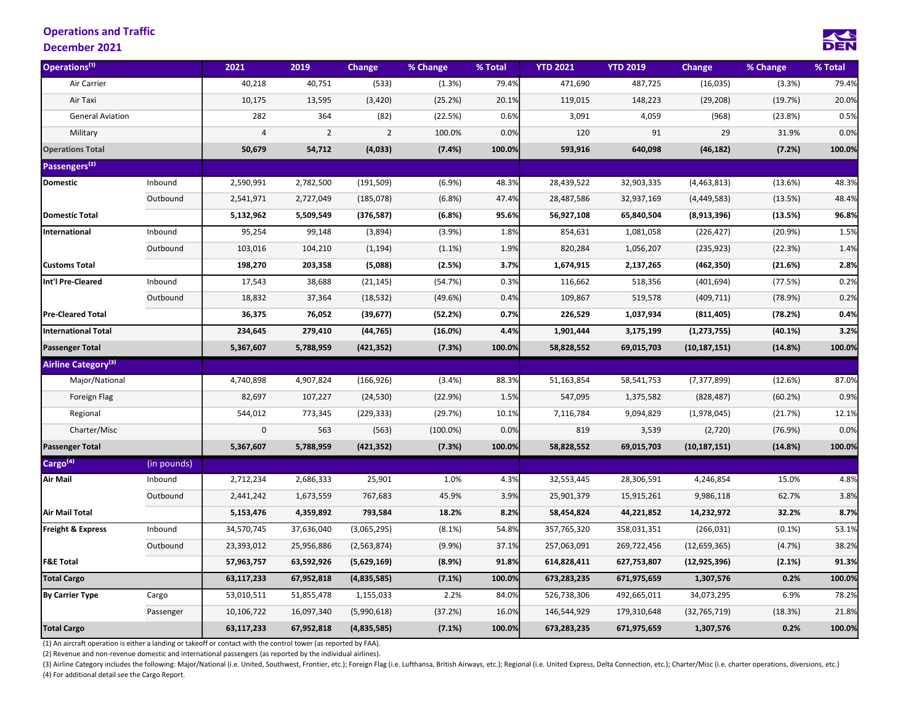### Operations and Traffic

### December 2021



| Operations <sup>(1)</sup>       |             | 2021       | 2019           | Change         | % Change    | % Total | <b>YTD 2021</b> | <b>YTD 2019</b> | Change         | % Change  | % Total |
|---------------------------------|-------------|------------|----------------|----------------|-------------|---------|-----------------|-----------------|----------------|-----------|---------|
| Air Carrier                     |             | 40,218     | 40,751         | (533)          | (1.3%)      | 79.4%   | 471,690         | 487,725         | (16, 035)      | (3.3%)    | 79.4%   |
| Air Taxi                        |             | 10,175     | 13,595         | (3,420)        | (25.2%)     | 20.1%   | 119,015         | 148,223         | (29, 208)      | (19.7%)   | 20.0%   |
| <b>General Aviation</b>         |             | 282        | 364            | (82)           | (22.5%)     | 0.6%    | 3,091           | 4,059           | (968)          | (23.8%)   | 0.5%    |
| Military                        |             | 4          | $\overline{2}$ | $\overline{2}$ | 100.0%      | 0.0%    | 120             | 91              | 29             | 31.9%     | 0.0%    |
| <b>Operations Total</b>         |             | 50,679     | 54,712         | (4,033)        | (7.4%)      | 100.0%  | 593,916         | 640,098         | (46, 182)      | (7.2%)    | 100.0%  |
| Passengers <sup>(2)</sup>       |             |            |                |                |             |         |                 |                 |                |           |         |
| <b>Domestic</b>                 | Inbound     | 2,590,991  | 2,782,500      | (191, 509)     | (6.9%)      | 48.3%   | 28,439,522      | 32,903,335      | (4,463,813)    | (13.6%)   | 48.3%   |
|                                 | Outbound    | 2,541,971  | 2,727,049      | (185,078)      | (6.8%)      | 47.4%   | 28,487,586      | 32,937,169      | (4,449,583)    | (13.5%)   | 48.4%   |
| <b>Domestic Total</b>           |             | 5,132,962  | 5,509,549      | (376, 587)     | (6.8%)      | 95.6%   | 56,927,108      | 65,840,504      | (8,913,396)    | (13.5%)   | 96.8%   |
| International                   | Inbound     | 95,254     | 99,148         | (3,894)        | (3.9%)      | 1.8%    | 854,631         | 1,081,058       | (226, 427)     | (20.9%)   | 1.5%    |
|                                 | Outbound    | 103,016    | 104,210        | (1, 194)       | (1.1%)      | 1.9%    | 820,284         | 1,056,207       | (235, 923)     | (22.3%)   | 1.4%    |
| <b>Customs Total</b>            |             | 198,270    | 203,358        | (5,088)        | (2.5%)      | 3.7%    | 1,674,915       | 2,137,265       | (462, 350)     | (21.6%)   | 2.8%    |
| Int'l Pre-Cleared               | Inbound     | 17,543     | 38,688         | (21, 145)      | (54.7%)     | 0.3%    | 116,662         | 518,356         | (401, 694)     | (77.5%)   | 0.2%    |
|                                 | Outbound    | 18,832     | 37,364         | (18, 532)      | (49.6%)     | 0.4%    | 109,867         | 519,578         | (409, 711)     | (78.9%)   | 0.2%    |
| <b>Pre-Cleared Total</b>        |             | 36,375     | 76,052         | (39, 677)      | (52.2%)     | 0.7%    | 226,529         | 1,037,934       | (811, 405)     | (78.2%)   | 0.4%    |
| <b>International Total</b>      |             | 234,645    | 279,410        | (44, 765)      | (16.0%)     | 4.4%    | 1,901,444       | 3,175,199       | (1, 273, 755)  | (40.1%)   | 3.2%    |
| <b>Passenger Total</b>          |             | 5,367,607  | 5,788,959      | (421, 352)     | (7.3%)      | 100.0%  | 58,828,552      | 69,015,703      | (10, 187, 151) | (14.8%)   | 100.0%  |
| Airline Category <sup>(3)</sup> |             |            |                |                |             |         |                 |                 |                |           |         |
| Major/National                  |             | 4,740,898  | 4,907,824      | (166, 926)     | (3.4%)      | 88.3%   | 51,163,854      | 58,541,753      | (7, 377, 899)  | (12.6%)   | 87.0%   |
| Foreign Flag                    |             | 82,697     | 107,227        | (24, 530)      | (22.9%)     | 1.5%    | 547,095         | 1,375,582       | (828, 487)     | (60.2%)   | 0.9%    |
| Regional                        |             | 544,012    | 773,345        | (229, 333)     | (29.7%)     | 10.1%   | 7,116,784       | 9,094,829       | (1,978,045)    | (21.7%)   | 12.1%   |
| Charter/Misc                    |             | $\pmb{0}$  | 563            | (563)          | $(100.0\%)$ | 0.0%    | 819             | 3,539           | (2,720)        | (76.9%)   | 0.0%    |
| <b>Passenger Total</b>          |             | 5,367,607  | 5,788,959      | (421, 352)     | (7.3%)      | 100.0%  | 58,828,552      | 69,015,703      | (10, 187, 151) | (14.8%)   | 100.0%  |
| Cargo <sup>(4)</sup>            | (in pounds) |            |                |                |             |         |                 |                 |                |           |         |
| <b>Air Mail</b>                 | Inbound     | 2,712,234  | 2,686,333      | 25,901         | 1.0%        | 4.3%    | 32,553,445      | 28,306,591      | 4,246,854      | 15.0%     | 4.8%    |
|                                 | Outbound    | 2,441,242  | 1,673,559      | 767,683        | 45.9%       | 3.9%    | 25,901,379      | 15,915,261      | 9,986,118      | 62.7%     | 3.8%    |
| <b>Air Mail Total</b>           |             | 5,153,476  | 4,359,892      | 793,584        | 18.2%       | 8.2%    | 58,454,824      | 44,221,852      | 14,232,972     | 32.2%     | 8.7%    |
| Freight & Express               | Inbound     | 34,570,745 | 37,636,040     | (3,065,295)    | (8.1%)      | 54.8%   | 357,765,320     | 358,031,351     | (266, 031)     | $(0.1\%)$ | 53.1%   |
|                                 | Outbound    | 23,393,012 | 25,956,886     | (2, 563, 874)  | (9.9%       | 37.1%   | 257,063,091     | 269,722,456     | (12, 659, 365) | (4.7%)    | 38.2%   |
| <b>F&amp;E Total</b>            |             | 57,963,757 | 63,592,926     | (5,629,169)    | (8.9%)      | 91.8%   | 614,828,411     | 627,753,807     | (12, 925, 396) | (2.1%)    | 91.3%   |
| <b>Total Cargo</b>              |             | 63,117,233 | 67,952,818     | (4,835,585)    | (7.1%)      | 100.0%  | 673,283,235     | 671,975,659     | 1,307,576      | 0.2%      | 100.0%  |
| <b>By Carrier Type</b>          | Cargo       | 53,010,511 | 51,855,478     | 1,155,033      | 2.2%        | 84.0%   | 526,738,306     | 492,665,011     | 34,073,295     | 6.9%      | 78.2%   |
|                                 | Passenger   | 10,106,722 | 16,097,340     | (5,990,618)    | (37.2%)     | 16.0%   | 146,544,929     | 179,310,648     | (32, 765, 719) | (18.3%)   | 21.8%   |
| <b>Total Cargo</b>              |             | 63,117,233 | 67,952,818     | (4,835,585)    | (7.1%)      | 100.0%  | 673,283,235     | 671,975,659     | 1,307,576      | 0.2%      | 100.0%  |

(1) An aircraft operation is either a landing or takeoff or contact with the control tower (as reported by FAA).

(2) Revenue and non-revenue domestic and international passengers (as reported by the individual airlines).

(3) Airline Category includes the following: Major/National (i.e. United, Southwest, Frontier, etc.); Foreign Flag (i.e. Lufthansa, British Airways, etc.); Regional (i.e. United Express, Delta Connection, etc.); Charter/Mi (4) For additional detail see the Cargo Report.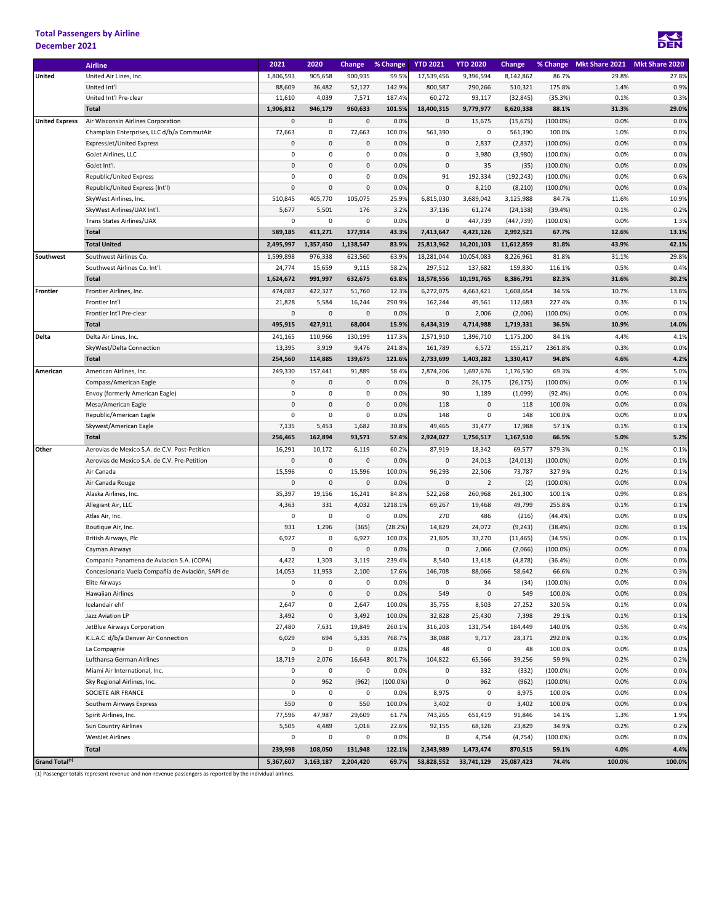| PELENNEL AVAI              |                                                   |             |                     |                 |             |                 |                 |            |             |                |                |
|----------------------------|---------------------------------------------------|-------------|---------------------|-----------------|-------------|-----------------|-----------------|------------|-------------|----------------|----------------|
|                            | <b>Airline</b>                                    | 2021        | 2020                | Change          | % Change    | <b>YTD 2021</b> | <b>YTD 2020</b> | Change     | % Change    | Mkt Share 2021 | Mkt Share 2020 |
| <b>United</b>              | United Air Lines, Inc.                            | 1,806,593   | 905,658             | 900,935         | 99.5%       | 17,539,456      | 9,396,594       | 8,142,862  | 86.7%       | 29.8%          | 27.8%          |
|                            | United Int'l                                      | 88,609      | 36,482              | 52,127          | 142.9%      | 800,587         | 290,266         | 510,321    | 175.8%      | 1.4%           | 0.9%           |
|                            | United Int'l Pre-clear                            | 11,610      | 4,039               | 7,571           | 187.4%      | 60,272          | 93,117          | (32, 845)  | (35.3%)     | 0.1%           | 0.3%           |
|                            | <b>Total</b>                                      | 1,906,812   | 946,179             | 960,633         | 101.5%      | 18,400,315      | 9,779,977       | 8,620,338  | 88.1%       | 31.3%          | 29.0%          |
| <b>United Express</b>      | Air Wisconsin Airlines Corporation                | 0           | $\mathsf 0$         | $\mathsf 0$     | 0.0%        | $\mathsf 0$     | 15,675          | (15, 675)  | $(100.0\%)$ | 0.0%           | 0.0%           |
|                            | Champlain Enterprises, LLC d/b/a CommutAir        | 72,663      | 0                   | 72,663          | 100.0%      | 561,390         | 0               | 561,390    | 100.0%      | 1.0%           | 0.0%           |
|                            | ExpressJet/United Express                         | $\Omega$    | $\mathbf 0$         | $\mathsf 0$     | 0.0%        | 0               | 2,837           | (2,837)    | $(100.0\%)$ | 0.0%           | 0.0%           |
|                            | GoJet Airlines, LLC                               | $\mathbf 0$ | 0                   | $\mathbf 0$     | 0.0%        | 0               | 3,980           | (3,980)    | $(100.0\%)$ | 0.0%           | 0.0%           |
|                            | GoJet Int'l.                                      | $\mathbf 0$ | $\mathbf 0$         | $\mathsf 0$     | 0.0%        | $\mathbf{0}$    | 35              | (35)       | $(100.0\%)$ | 0.0%           | 0.0%           |
|                            | Republic/United Express                           | $\mathbf 0$ | 0                   | 0               | 0.0%        | 91              | 192,334         | (192, 243) | $(100.0\%)$ | 0.0%           | 0.6%           |
|                            | Republic/United Express (Int'l)                   | $\mathbf 0$ | $\mathsf{O}\xspace$ | $\mathsf 0$     | 0.0%        | $\mathsf 0$     | 8,210           | (8, 210)   | $(100.0\%)$ | 0.0%           | 0.0%           |
|                            | SkyWest Airlines, Inc.                            | 510,845     | 405,770             | 105,075         | 25.9%       | 6,815,030       | 3,689,042       | 3,125,988  | 84.7%       | 11.6%          | 10.9%          |
|                            | SkyWest Airlines/UAX Int'l.                       | 5,677       | 5,501               | 176             | 3.2%        | 37,136          | 61,274          | (24, 138)  | (39.4%)     | 0.1%           | 0.2%           |
|                            | Trans States Airlines/UAX                         | 0           | $\mathsf 0$         | $\mathsf 0$     | 0.0%        | 0               | 447,739         | (447, 739) | $(100.0\%)$ | 0.0%           | 1.3%           |
|                            | <b>Total</b>                                      | 589,185     | 411,271             | 177,914         | 43.3%       | 7,413,647       | 4,421,126       | 2,992,521  | 67.7%       | 12.6%          | 13.1%          |
|                            | <b>Total United</b>                               | 2,495,997   | 1,357,450           | 1,138,547       | 83.9%       | 25,813,962      | 14,201,103      | 11,612,859 | 81.8%       | 43.9%          | 42.1%          |
| Southwest                  | Southwest Airlines Co.                            | 1,599,898   | 976,338             | 623,560         | 63.9%       | 18,281,044      | 10,054,083      | 8,226,961  | 81.8%       | 31.1%          | 29.8%          |
|                            | Southwest Airlines Co. Int'l.                     | 24,774      | 15,659              | 9,115           | 58.2%       | 297,512         | 137,682         | 159,830    | 116.1%      | 0.5%           | 0.4%           |
|                            | <b>Total</b>                                      | 1,624,672   | 991,997             | 632,675         | 63.8%       | 18,578,556      | 10,191,765      | 8,386,791  | 82.3%       | 31.6%          | 30.2%          |
| <b>Frontier</b>            | Frontier Airlines, Inc.                           | 474,087     | 422,327             | 51,760          | 12.3%       | 6,272,075       | 4,663,421       | 1,608,654  | 34.5%       | 10.7%          | 13.8%          |
|                            | Frontier Int'l                                    | 21,828      | 5,584               | 16,244          | 290.9%      | 162,244         | 49,561          | 112,683    | 227.4%      | 0.3%           | 0.1%           |
|                            | Frontier Int'l Pre-clear                          | $\mathbf 0$ | $\mathsf 0$         | $\mathsf 0$     | 0.0%        | $\mathbf 0$     | 2,006           | (2,006)    | $(100.0\%)$ | 0.0%           | 0.0%           |
|                            | <b>Total</b>                                      | 495,915     | 427,911             | 68,004          | 15.9%       | 6,434,319       | 4,714,988       | 1,719,331  | 36.5%       | 10.9%          | 14.0%          |
| Delta                      | Delta Air Lines, Inc.                             | 241,165     | 110,966             | 130,199         | 117.3%      | 2,571,910       | 1,396,710       | 1,175,200  | 84.1%       | 4.4%           | 4.1%           |
|                            | SkyWest/Delta Connection                          | 13,395      | 3,919               | 9,476           | 241.8%      | 161,789         | 6,572           | 155,217    | 2361.8%     | 0.3%           | 0.0%           |
|                            | <b>Total</b>                                      | 254,560     | 114,885             | 139,675         | 121.6%      | 2,733,699       | 1,403,282       | 1,330,417  | 94.8%       | 4.6%           | 4.2%           |
| American                   | American Airlines, Inc.                           | 249,330     | 157,441             | 91,889          | 58.4%       | 2,874,206       | 1,697,676       | 1,176,530  | 69.3%       | 4.9%           | 5.0%           |
|                            | Compass/American Eagle                            | $\mathbf 0$ | $\mathsf 0$         | $\mathsf 0$     | 0.0%        | 0               | 26,175          | (26, 175)  | $(100.0\%)$ | 0.0%           | 0.1%           |
|                            | Envoy (formerly American Eagle)                   | $\mathbf 0$ | 0                   | $\mathsf 0$     | 0.0%        | 90              | 1,189           | (1,099)    | (92.4%)     | 0.0%           | 0.0%           |
|                            | Mesa/American Eagle                               | $\mathbf 0$ | $\mathbf 0$         | $\mathsf 0$     | 0.0%        | 118             | 0               | 118        | 100.0%      | 0.0%           | 0.0%           |
|                            | Republic/American Eagle                           | $\mathbf 0$ | $\mathsf 0$         | $\mathsf 0$     | 0.0%        | 148             | 0               | 148        | 100.0%      | 0.0%           | 0.0%           |
|                            | Skywest/American Eagle                            | 7,135       | 5,453               | 1,682           | 30.8%       | 49,465          | 31,477          | 17,988     | 57.1%       | 0.1%           | 0.1%           |
|                            | <b>Total</b>                                      | 256,465     | 162,894             | 93,571          | 57.4%       | 2,924,027       | 1,756,517       | 1,167,510  | 66.5%       | 5.0%           | 5.2%           |
| Other                      | Aerovias de Mexico S.A. de C.V. Post-Petition     | 16,291      | 10,172              | 6,119           | 60.2%       | 87,919          | 18,342          | 69,577     | 379.3%      | 0.1%           | 0.1%           |
|                            | Aerovias de Mexico S.A. de C.V. Pre-Petition      | $\mathbf 0$ | $\mathsf 0$         | $\mathsf 0$     | 0.0%        | $\mathbf 0$     | 24,013          | (24, 013)  | $(100.0\%)$ | 0.0%           | 0.1%           |
|                            | Air Canada                                        | 15,596      | $\mathsf 0$         | 15,596          | 100.0%      | 96,293          | 22,506          | 73,787     | 327.9%      | 0.2%           | 0.1%           |
|                            | Air Canada Rouge                                  | $\mathbf 0$ | $\mathsf 0$         | $\mathsf 0$     | 0.0%        | 0               | $\overline{2}$  | (2)        | $(100.0\%)$ | 0.0%           | 0.0%           |
|                            | Alaska Airlines, Inc.                             | 35,397      | 19,156              | 16,241          | 84.8%       | 522,268         | 260,968         | 261,300    | 100.1%      | 0.9%           | 0.8%           |
|                            | Allegiant Air, LLC                                | 4,363       | 331                 | 4,032           | 1218.1%     | 69,267          | 19,468          | 49,799     | 255.8%      | 0.1%           | 0.1%           |
|                            | Atlas Air, Inc.                                   | 0           | $\mathsf 0$         | $\mathsf 0$     | 0.0%        | 270             | 486             | (216)      | (44.4%)     | 0.0%           | 0.0%           |
|                            | Boutique Air, Inc.                                | 931         | 1,296               | (365)           | (28.2%      | 14,829          | 24,072          | (9, 243)   | (38.4%)     | 0.0%           | 0.1%           |
|                            | British Airways, Plc                              | 6,927       | 0                   | 6,927           | 100.0%      | 21,805          | 33,270          | (11, 465)  | (34.5%)     | 0.0%           | 0.1%           |
|                            | Cayman Airways                                    | $\mathbf 0$ | $\mathsf 0$         | $\mathbf 0$     | 0.0%        | 0               | 2,066           | (2,066)    | $(100.0\%)$ | 0.0%           | 0.0%           |
|                            | Compania Panamena de Aviacion S.A. (COPA)         | 4,422       | 1,303               | 3,119           | 239.4%      | 8,540           | 13,418          | (4,878)    | (36.4%)     | 0.0%           | 0.0%           |
|                            | Concesionaria Vuela Compañía de Aviación, SAPI de | 14,053      | 11,953              | 2,100           | 17.6%       | 146,708         | 88,066          | 58,642     | 66.6%       | 0.2%           | 0.3%           |
|                            | Elite Airways                                     | 0           | 0                   | 0               | 0.0%        | 0               | 34              | (34)       | $(100.0\%)$ | 0.0%           | 0.0%           |
|                            | Hawaiian Airlines                                 | $\pmb{0}$   | $\mathsf 0$         | $\mathsf 0$     | 0.0%        | 549             | $\pmb{0}$       | 549        | 100.0%      | 0.0%           | 0.0%           |
|                            | Icelandair ehf                                    | 2,647       | 0                   | 2,647           | 100.0%      | 35,755          | 8,503           | 27,252     | 320.5%      | 0.1%           | 0.0%           |
|                            | Jazz Aviation LP                                  | 3,492       | 0                   | 3,492           | 100.0%      | 32,828          | 25,430          | 7,398      | 29.1%       | 0.1%           | 0.1%           |
|                            | JetBlue Airways Corporation                       | 27,480      | 7,631               | 19,849          | 260.1%      | 316,203         | 131,754         | 184,449    | 140.0%      | 0.5%           | 0.4%           |
|                            | K.L.A.C d/b/a Denver Air Connection               | 6,029       | 694                 | 5,335           | 768.7%      | 38,088          | 9,717           | 28,371     | 292.0%      | 0.1%           | 0.0%           |
|                            | La Compagnie                                      | $\pmb{0}$   | 0                   | $\mathsf 0$     | 0.0%        | 48              | 0               | 48         | 100.0%      | 0.0%           | 0.0%           |
|                            | Lufthansa German Airlines                         | 18,719      | 2,076               | 16,643          | 801.7%      | 104,822         | 65,566          | 39,256     | 59.9%       | 0.2%           | 0.2%           |
|                            | Miami Air International, Inc.                     | 0           | 0                   | 0               | 0.0%        | 0               | 332             | (332)      | $(100.0\%)$ | 0.0%           | 0.0%           |
|                            | Sky Regional Airlines, Inc.                       | $\mathbf 0$ | 962                 | (962)           | $(100.0\%)$ | $\mathsf 0$     | 962             | (962)      | $(100.0\%)$ | 0.0%           | 0.0%           |
|                            | SOCIETE AIR FRANCE                                | $\pmb{0}$   | 0                   | $\pmb{0}$       | 0.0%        | 8,975           | 0               | 8,975      | 100.0%      | 0.0%           | 0.0%           |
|                            | Southern Airways Express                          | 550         | $\mathsf 0$         | 550             | 100.0%      | 3,402           | 0               | 3,402      | 100.0%      | 0.0%           | 0.0%           |
|                            | Spirit Airlines, Inc.                             | 77,596      | 47,987              | 29,609<br>1,016 | 61.7%       | 743,265         | 651,419         | 91,846     | 14.1%       | 1.3%           | 1.9%           |
|                            | Sun Country Airlines                              | 5,505       | 4,489               |                 | 22.6%       | 92,155          | 68,326          | 23,829     | 34.9%       | 0.2%           | 0.2%           |
|                            | <b>WestJet Airlines</b>                           | 0           | 0                   | $\mathsf 0$     | 0.0%        | 0               | 4,754           | (4, 754)   | $(100.0\%)$ | 0.0%           | 0.0%           |
|                            | <b>Total</b>                                      | 239,998     | 108,050             | 131,948         | 122.1%      | 2,343,989       | 1,473,474       | 870,515    | 59.1%       | 4.0%           | 4.4%           |
| Grand Total <sup>(1)</sup> |                                                   | 5,367,607   | 3,163,187           | 2,204,420       | 69.7%       | 58,828,552      | 33,741,129      | 25,087,423 | 74.4%       | 100.0%         | 100.0%         |

(1) Passenger totals represent revenue and non-revenue passengers as reported by the individual airlines.

## Total Passengers by Airline

December 2021

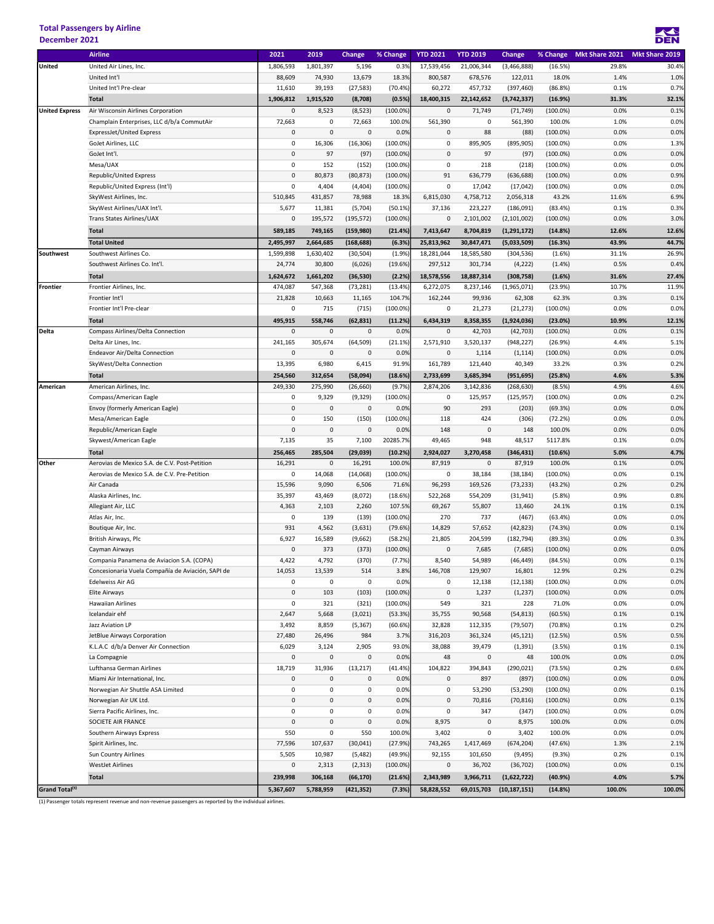### Total Passengers by Airline

December 2021

|                            | <b>Airline</b>                                                                                 | 2021                   | 2019                   | Change               | % Change              | <b>YTD 2021</b>          | <b>YTD 2019</b>    | Change                 | % Change               | Mkt Share 2021 | Mkt Share 2019 |
|----------------------------|------------------------------------------------------------------------------------------------|------------------------|------------------------|----------------------|-----------------------|--------------------------|--------------------|------------------------|------------------------|----------------|----------------|
| <b>United</b>              | United Air Lines, Inc.                                                                         | 1,806,593              | 1,801,397              | 5,196                | 0.39                  | 17,539,456               | 21,006,344         | (3,466,888)            | (16.5%)                | 29.8%          | 30.4%          |
|                            | United Int'l                                                                                   | 88,609                 | 74,930                 | 13,679               | 18.3%                 | 800,587                  | 678,576            | 122,011                | 18.0%                  | 1.4%           | 1.0%           |
|                            | United Int'l Pre-clear                                                                         | 11,610                 | 39,193                 | (27, 583)            | (70.4%                | 60,272                   | 457,732            | (397, 460)             | (86.8%)                | 0.1%           | 0.7%           |
|                            | <b>Total</b>                                                                                   | 1,906,812              | 1,915,520              | (8,708)              | (0.5%                 | 18,400,315               | 22,142,652         | (3,742,337)            | (16.9%)                | 31.3%          | 32.1%          |
| <b>United Express</b>      | Air Wisconsin Airlines Corporation                                                             | $\mathsf 0$            | 8,523                  | (8, 523)             | (100.0%               | $\mathbf 0$              | 71,749             | (71, 749)              | $(100.0\%)$            | 0.0%           | 0.1%           |
|                            | Champlain Enterprises, LLC d/b/a CommutAir                                                     | 72,663                 | 0                      | 72,663               | 100.0%                | 561,390                  | $\mathsf 0$        | 561,390                | 100.0%                 | 1.0%           | 0.0%           |
|                            | ExpressJet/United Express                                                                      | $\mathbf{0}$           | $\pmb{0}$              | $\mathsf 0$          | 0.0%                  | $\mathbf 0$              | 88                 | (88)                   | $(100.0\%)$            | 0.0%           | 0.0%           |
|                            | GoJet Airlines, LLC                                                                            | $\mathsf 0$            | 16,306                 | (16, 306)            | (100.0%               | $\pmb{0}$                | 895,905            | (895, 905)             | $(100.0\%)$            | 0.0%           | 1.3%           |
|                            | GoJet Int'l.                                                                                   | $\mathbf 0$            | 97                     | (97)                 | (100.0%               | $\mathbf 0$              | 97                 | (97)                   | $(100.0\%)$            | 0.0%           | 0.0%           |
|                            | Mesa/UAX                                                                                       | $\mathbf 0$            | 152                    | (152)                | (100.0%               | $\mathsf 0$              | 218                | (218)                  | $(100.0\%)$            | 0.0%           | 0.0%           |
|                            | Republic/United Express                                                                        | $\mathbf 0$            | 80,873                 | (80, 873)            | (100.0%               | 91                       | 636,779            | (636, 688)             | $(100.0\%)$            | 0.0%           | 0.9%           |
|                            | Republic/United Express (Int'l)                                                                | $\mathsf 0$            | 4,404                  | (4, 404)             | (100.0%               | $\pmb{0}$                | 17,042             | (17, 042)              | $(100.0\%)$            | 0.0%           | 0.0%           |
|                            | SkyWest Airlines, Inc.                                                                         | 510,845                | 431,857                | 78,988               | 18.3%                 | 6,815,030                | 4,758,712          | 2,056,318              | 43.2%                  | 11.6%          | 6.9%           |
|                            | SkyWest Airlines/UAX Int'l.                                                                    | 5,677                  | 11,381                 | (5,704)              | (50.1%                | 37,136                   | 223,227            | (186,091)              | (83.4%)                | 0.1%           | 0.3%           |
|                            | Trans States Airlines/UAX                                                                      | $\mathbf 0$            | 195,572                | (195, 572)           | $(100.0\%)$           | $\mathbf 0$              | 2,101,002          | (2, 101, 002)          | $(100.0\%)$            | 0.0%           | 3.0%           |
|                            | <b>Total</b>                                                                                   | 589,185                | 749,165                | (159,980)            | (21.4%                | 7,413,647                | 8,704,819          | (1, 291, 172)          | (14.8%)                | 12.6%          | 12.6%          |
|                            | <b>Total United</b>                                                                            | 2,495,997              | 2,664,685              | (168, 688)           | (6.3%                 | 25,813,962               | 30,847,471         | (5,033,509)            | (16.3%)                | 43.9%          | 44.7%          |
| Southwest                  | Southwest Airlines Co.                                                                         | 1,599,898              | 1,630,402              | (30, 504)            | (1.9%                 | 18,281,044               | 18,585,580         | (304, 536)             | (1.6%)                 | 31.1%          | 26.9%          |
|                            | Southwest Airlines Co. Int'l.                                                                  | 24,774                 | 30,800                 | (6,026)              | (19.6%                | 297,512                  | 301,734            | (4, 222)               | (1.4%)                 | 0.5%           | 0.4%           |
|                            | <b>Total</b>                                                                                   | 1,624,672              | 1,661,202              | (36, 530)            | (2.2%                 | 18,578,556               | 18,887,314         | (308, 758)             | (1.6%)                 | 31.6%          | 27.4%          |
| <b>Frontier</b>            | Frontier Airlines, Inc.                                                                        | 474,087                | 547,368                | (73, 281)            | (13.4%                | 6,272,075                | 8,237,146          | (1,965,071)            | (23.9%)                | 10.7%          | 11.9%          |
|                            | Frontier Int'l<br>Frontier Int'l Pre-clear                                                     | 21,828                 | 10,663                 | 11,165               | 104.7%                | 162,244                  | 99,936             | 62,308                 | 62.3%                  | 0.3%           | 0.1%           |
|                            |                                                                                                | $\mathsf 0$            | 715                    | (715)                | (100.0%               | 0                        | 21,273             | (21, 273)              | $(100.0\%)$            | 0.0%           | 0.0%           |
|                            | <b>Total</b>                                                                                   | 495,915<br>$\mathbf 0$ | 558,746<br>$\mathbf 0$ | (62, 831)            | (11.2%<br>0.0%        | 6,434,319                | 8,358,355          | (1,924,036)            | (23.0%)                | 10.9%          | 12.1%          |
| Delta                      | Compass Airlines/Delta Connection<br>Delta Air Lines, Inc.                                     | 241,165                |                        | $\mathsf 0$          |                       | $\mathbf 0$              | 42,703             | (42, 703)              | $(100.0\%)$            | 0.0%<br>4.4%   | 0.1%<br>5.1%   |
|                            | Endeavor Air/Delta Connection                                                                  | $\mathsf 0$            | 305,674<br>$\pmb{0}$   | (64, 509)<br>0       | (21.1%<br>0.0%        | 2,571,910<br>$\mathbf 0$ | 3,520,137<br>1,114 | (948, 227)<br>(1, 114) | (26.9%)<br>$(100.0\%)$ | 0.0%           | 0.0%           |
|                            | SkyWest/Delta Connection                                                                       | 13,395                 | 6,980                  | 6,415                | 91.9%                 | 161,789                  | 121,440            | 40,349                 | 33.2%                  | 0.3%           | 0.2%           |
|                            | <b>Total</b>                                                                                   | 254,560                | 312,654                | (58,094)             | (18.6%                | 2,733,699                | 3,685,394          | (951, 695)             | (25.8%)                | 4.6%           | 5.3%           |
| American                   | American Airlines, Inc.                                                                        | 249,330                | 275,990                | (26, 660)            | (9.7%                 | 2,874,206                | 3,142,836          | (268, 630)             | (8.5%)                 | 4.9%           | 4.6%           |
|                            | Compass/American Eagle                                                                         | $\mathsf 0$            | 9,329                  | (9, 329)             | (100.0%               | 0                        | 125,957            | (125, 957)             | $(100.0\%)$            | 0.0%           | 0.2%           |
|                            | Envoy (formerly American Eagle)                                                                | $\mathbf 0$            | $\pmb{0}$              | $\mathsf 0$          | 0.0%                  | 90                       | 293                | (203)                  | (69.3%)                | 0.0%           | 0.0%           |
|                            | Mesa/American Eagle                                                                            | $\mathsf 0$            | 150                    | (150)                | (100.0%               | 118                      | 424                | (306)                  | (72.2%)                | 0.0%           | 0.0%           |
|                            | Republic/American Eagle                                                                        | $\mathsf 0$            | $\pmb{0}$              | $\mathsf 0$          | 0.0%                  | 148                      | $\mathsf 0$        | 148                    | 100.0%                 | 0.0%           | 0.0%           |
|                            | Skywest/American Eagle                                                                         | 7,135                  | 35                     | 7,100                | 20285.7%              | 49,465                   | 948                | 48,517                 | 5117.8%                | 0.1%           | 0.0%           |
|                            | <b>Total</b>                                                                                   | 256,465                | 285,504                | (29, 039)            | (10.2%                | 2,924,027                | 3,270,458          | (346, 431)             | (10.6%)                | 5.0%           | 4.7%           |
| Other                      | Aerovias de Mexico S.A. de C.V. Post-Petition                                                  | 16,291                 | $\pmb{0}$              | 16,291               | 100.0%                | 87,919                   | $\mathsf 0$        | 87,919                 | 100.0%                 | 0.1%           | 0.0%           |
|                            | Aerovias de Mexico S.A. de C.V. Pre-Petition                                                   | $\mathsf 0$            | 14,068                 | (14,068)             | (100.0%               | 0                        | 38,184             | (38, 184)              | $(100.0\%)$            | 0.0%           | 0.1%           |
|                            | Air Canada                                                                                     | 15,596                 | 9,090                  | 6,506                | 71.6%                 | 96,293                   | 169,526            | (73, 233)              | (43.2%)                | 0.2%           | 0.2%           |
|                            | Alaska Airlines, Inc.                                                                          | 35,397                 | 43,469                 | (8,072)              | (18.6%)               | 522,268                  | 554,209            | (31, 941)              | (5.8%)                 | 0.9%           | 0.8%           |
|                            | Allegiant Air, LLC                                                                             | 4,363                  | 2,103                  | 2,260                | 107.5%                | 69,267                   | 55,807             | 13,460                 | 24.1%                  | 0.1%           | 0.1%           |
|                            | Atlas Air, Inc.                                                                                | 0                      | 139                    | (139)                | (100.0%               | 270                      | 737                | (467)                  | (63.4%)                | 0.0%           | 0.0%           |
|                            | Boutique Air, Inc.                                                                             | 931                    | 4,562                  | (3,631)              | (79.6%                | 14,829                   | 57,652             | (42, 823)              | (74.3%)                | 0.0%           | 0.1%           |
|                            | British Airways, Plc                                                                           | 6,927                  | 16,589                 | (9,662)              | (58.2%                | 21,805                   | 204,599            | (182, 794)             | (89.3%)                | 0.0%           | 0.3%           |
|                            | Cayman Airways                                                                                 | $\mathsf 0$            | 373                    | (373)                | (100.0%               | $\mathbf 0$              | 7,685              | (7,685)                | $(100.0\%)$            | 0.0%<br>0.0%   | 0.0%           |
|                            | Compania Panamena de Aviacion S.A. (COPA)<br>Concesionaria Vuela Compañía de Aviación, SAPI de | 4,422                  | 4,792                  | (370)                | (7.7%                 | 8,540                    | 54,989             | (46, 449)              | (84.5%)                |                | 0.1%<br>0.2%   |
|                            | Edelweiss Air AG                                                                               | 14,053<br>0            | 13,539<br>0            | 514<br>$\mathsf 0$   | 3.8%<br>0.0%          | 146,708<br>0             | 129,907<br>12,138  | 16,801<br>(12, 138)    | 12.9%<br>$(100.0\%)$   | 0.2%<br>0.0%   | 0.0%           |
|                            | Elite Airways                                                                                  | 0                      | 103                    | (103)                | (100.0%               | 0                        | 1,237              | (1, 237)               | $(100.0\%)$            | 0.0%           | 0.0%           |
|                            | <b>Hawaiian Airlines</b>                                                                       | 0                      | 321                    | (321)                | (100.0%               | 549                      | 321                | 228                    | 71.0%                  | 0.0%           | 0.0%           |
|                            | Icelandair ehf                                                                                 | 2,647                  | 5,668                  | (3,021)              | (53.3%                | 35,755                   | 90,568             | (54, 813)              | (60.5%)                | 0.1%           | 0.1%           |
|                            | Jazz Aviation LP                                                                               | 3,492                  | 8,859                  | (5, 367)             | (60.6%                | 32,828                   | 112,335            | (79, 507)              | (70.8%)                | 0.1%           | 0.2%           |
|                            | JetBlue Airways Corporation                                                                    | 27,480                 | 26,496                 | 984                  | 3.7%                  | 316,203                  | 361,324            | (45, 121)              | (12.5%)                | 0.5%           | 0.5%           |
|                            | K.L.A.C d/b/a Denver Air Connection                                                            | 6,029                  | 3,124                  | 2,905                | 93.0%                 | 38,088                   | 39,479             | (1, 391)               | (3.5%)                 | 0.1%           | 0.1%           |
|                            | La Compagnie                                                                                   | $\mathbf 0$            | $\pmb{0}$              | 0                    | 0.0%                  | 48                       | $\mathsf 0$        | 48                     | 100.0%                 | 0.0%           | 0.0%           |
|                            | Lufthansa German Airlines                                                                      | 18,719                 | 31,936                 | (13, 217)            | (41.4%                | 104,822                  | 394,843            | (290, 021)             | (73.5%)                | 0.2%           | 0.6%           |
|                            | Miami Air International, Inc.                                                                  | 0                      | 0                      | 0                    | 0.0%                  | $\mathbf 0$              | 897                | (897)                  | $(100.0\%)$            | 0.0%           | 0.0%           |
|                            | Norwegian Air Shuttle ASA Limited                                                              | 0                      | 0                      | $\pmb{0}$            | 0.0%                  | 0                        | 53,290             | (53, 290)              | $(100.0\%)$            | 0.0%           | 0.1%           |
|                            | Norwegian Air UK Ltd.                                                                          | 0                      | 0                      | 0                    | 0.0%                  | 0                        | 70,816             | (70, 816)              | $(100.0\%)$            | 0.0%           | 0.1%           |
|                            | Sierra Pacific Airlines, Inc.                                                                  | $\mathsf 0$            | $\mathbf 0$            | $\pmb{0}$            | 0.0%                  | 0                        | 347                | (347)                  | $(100.0\%)$            | 0.0%           | 0.0%           |
|                            | SOCIETE AIR FRANCE                                                                             | $\mathbf 0$            | $\pmb{0}$              | 0                    | 0.0%                  | 8,975                    | $\pmb{0}$          | 8,975                  | 100.0%                 | 0.0%           | 0.0%           |
|                            | Southern Airways Express                                                                       | 550                    | $\pmb{0}$              | 550                  | 100.0%                | 3,402                    | $\mathsf 0$        | 3,402                  | 100.0%                 | 0.0%           | 0.0%           |
|                            | Spirit Airlines, Inc.                                                                          | 77,596                 | 107,637                | (30,041)             | (27.9%)               | 743,265                  | 1,417,469          | (674, 204)             | (47.6%)                | 1.3%           | 2.1%           |
|                            | Sun Country Airlines<br><b>WestJet Airlines</b>                                                | 5,505<br>$\mathbf 0$   | 10,987<br>2,313        | (5, 482)<br>(2, 313) | (49.9%<br>$(100.0\%)$ | 92,155<br>$\mathbf 0$    | 101,650<br>36,702  | (9, 495)<br>(36, 702)  | (9.3%)<br>$(100.0\%)$  | 0.2%<br>0.0%   | 0.1%<br>0.1%   |
|                            |                                                                                                |                        |                        |                      |                       |                          |                    |                        |                        |                |                |
|                            | <b>Total</b>                                                                                   | 239,998                | 306,168                | (66, 170)            | (21.6%                | 2,343,989                | 3,966,711          | (1,622,722)            | (40.9%)                | 4.0%           | 5.7%           |
| Grand Total <sup>(1)</sup> |                                                                                                | 5,367,607              | 5,788,959              | (421, 352)           | (7.3%)                | 58,828,552               | 69,015,703         | (10, 187, 151)         | (14.8%)                | 100.0%         | 100.0%         |

**DEN** 

(1) Passenger totals represent revenue and non-revenue passengers as reported by the individual airlines.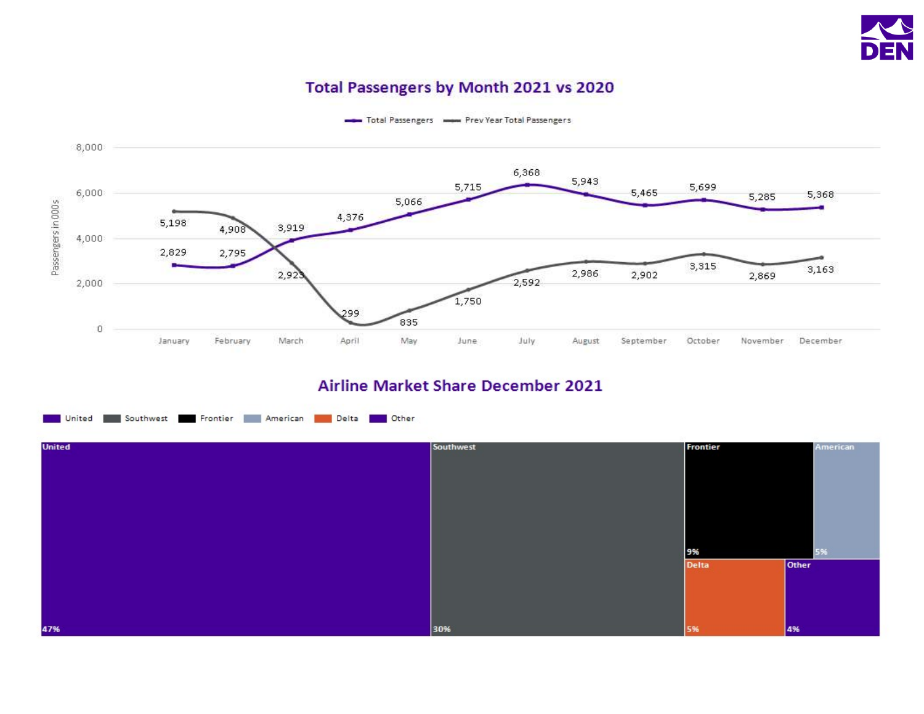

# Total Passengers by Month 2021 vs 2020



Total Passengers - Prev Year Total Passengers

## **Airline Market Share December 2021**

United Southwest Frontier American Delta Other

| <b>United</b> | Southwest | Frontier | American |
|---------------|-----------|----------|----------|
|               |           |          |          |
|               |           |          |          |
|               |           | 9%       | 5%       |
|               |           | Delta    | Other    |
|               |           |          |          |
| 47%           | 30%       | 5%       | 4%       |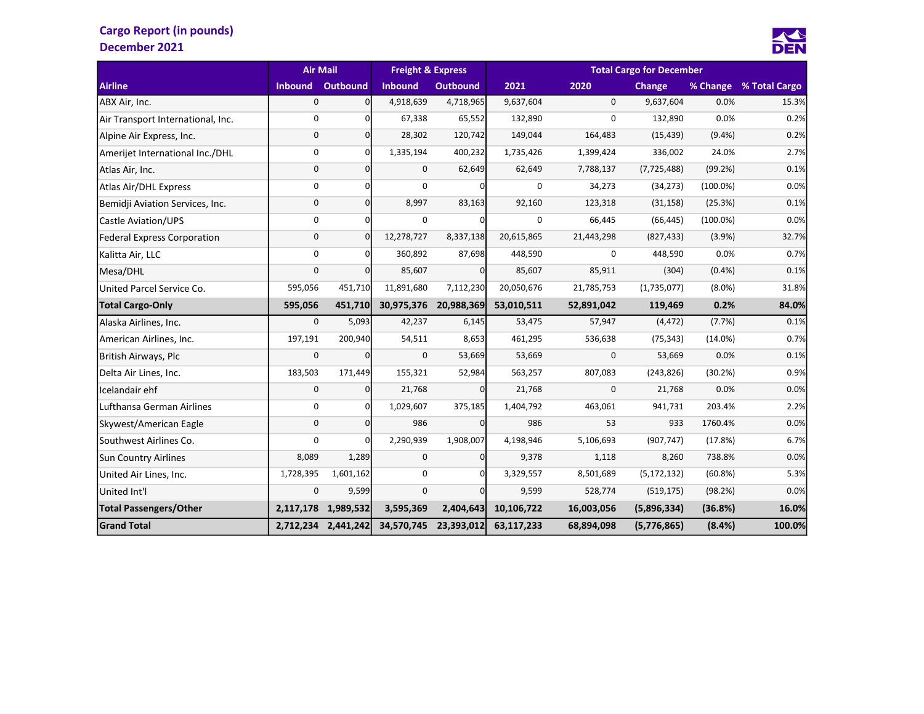## Cargo Report (in pounds) December 2021



|                                    |                | <b>Air Mail</b>     | <b>Freight &amp; Express</b> |                 |            |             |               |             |               |
|------------------------------------|----------------|---------------------|------------------------------|-----------------|------------|-------------|---------------|-------------|---------------|
| <b>Airline</b>                     | <b>Inbound</b> | <b>Outbound</b>     | <b>Inbound</b>               | <b>Outbound</b> | 2021       | 2020        | Change        | % Change    | % Total Cargo |
| ABX Air, Inc.                      | $\mathbf 0$    | οI                  | 4,918,639                    | 4,718,965       | 9,637,604  | $\mathbf 0$ | 9,637,604     | 0.0%        | 15.3%         |
| Air Transport International, Inc.  | 0              | 01                  | 67,338                       | 65,552          | 132,890    | 0           | 132,890       | 0.0%        | 0.2%          |
| Alpine Air Express, Inc.           | 0              | 01                  | 28,302                       | 120,742         | 149,044    | 164,483     | (15, 439)     | (9.4% )     | 0.2%          |
| Amerijet International Inc./DHL    | 0              | οI                  | 1,335,194                    | 400,232         | 1,735,426  | 1,399,424   | 336,002       | 24.0%       | 2.7%          |
| Atlas Air, Inc.                    | $\mathbf 0$    | $\Omega$            | 0                            | 62,649          | 62,649     | 7,788,137   | (7, 725, 488) | (99.2%)     | 0.1%          |
| <b>Atlas Air/DHL Express</b>       | 0              | οI                  | 0                            | O               | 0          | 34,273      | (34, 273)     | $(100.0\%)$ | 0.0%          |
| Bemidii Aviation Services, Inc.    | 0              | οI                  | 8,997                        | 83,163          | 92,160     | 123,318     | (31, 158)     | (25.3%)     | 0.1%          |
| <b>Castle Aviation/UPS</b>         | 0              | <sub>0</sub>        | 0                            | ŋ               | 0          | 66,445      | (66, 445)     | $(100.0\%)$ | 0.0%          |
| <b>Federal Express Corporation</b> | 0              | $\Omega$            | 12,278,727                   | 8,337,138       | 20,615,865 | 21,443,298  | (827, 433)    | (3.9%)      | 32.7%         |
| Kalitta Air, LLC                   | 0              | οI                  | 360,892                      | 87,698          | 448,590    | 0           | 448,590       | 0.0%        | 0.7%          |
| Mesa/DHL                           | $\mathbf 0$    | οI                  | 85,607                       | $\Omega$        | 85,607     | 85,911      | (304)         | (0.4% )     | 0.1%          |
| United Parcel Service Co.          | 595,056        | 451,710             | 11,891,680                   | 7,112,230       | 20,050,676 | 21,785,753  | (1,735,077)   | $(8.0\%)$   | 31.8%         |
| <b>Total Cargo-Only</b>            | 595,056        | 451,710             | 30,975,376                   | 20,988,369      | 53,010,511 | 52,891,042  | 119,469       | 0.2%        | 84.0%         |
| Alaska Airlines, Inc.              | $\mathbf 0$    | 5,093               | 42,237                       | 6,145           | 53,475     | 57,947      | (4, 472)      | (7.7%)      | 0.1%          |
| American Airlines, Inc.            | 197,191        | 200,940             | 54,511                       | 8,653           | 461,295    | 536,638     | (75, 343)     | $(14.0\%)$  | 0.7%          |
| British Airways, Plc               | $\mathbf 0$    | Οl                  | $\mathbf 0$                  | 53,669          | 53,669     | $\mathbf 0$ | 53,669        | 0.0%        | 0.1%          |
| Delta Air Lines, Inc.              | 183,503        | 171,449             | 155,321                      | 52,984          | 563,257    | 807,083     | (243, 826)    | (30.2%)     | 0.9%          |
| Icelandair ehf                     | 0              | $\Omega$            | 21,768                       | $\Omega$        | 21,768     | 0           | 21,768        | 0.0%        | 0.0%          |
| Lufthansa German Airlines          | 0              | οI                  | 1,029,607                    | 375,185         | 1,404,792  | 463,061     | 941,731       | 203.4%      | 2.2%          |
| Skywest/American Eagle             | $\mathbf 0$    | $\Omega$            | 986                          | 0               | 986        | 53          | 933           | 1760.4%     | 0.0%          |
| Southwest Airlines Co.             | 0              | $\Omega$            | 2,290,939                    | 1,908,007       | 4,198,946  | 5,106,693   | (907, 747)    | (17.8%)     | 6.7%          |
| <b>Sun Country Airlines</b>        | 8,089          | 1,289               | 0                            | 0               | 9,378      | 1,118       | 8,260         | 738.8%      | 0.0%          |
| United Air Lines, Inc.             | 1,728,395      | 1,601,162           | 0                            | $\Omega$        | 3,329,557  | 8,501,689   | (5, 172, 132) | (60.8%)     | 5.3%          |
| United Int'l                       | 0              | 9,599               | 0                            | 0               | 9,599      | 528,774     | (519, 175)    | (98.2%)     | 0.0%          |
| <b>Total Passengers/Other</b>      | 2.117.178      | 1,989,532           | 3,595,369                    | 2,404,643       | 10,106,722 | 16,003,056  | (5,896,334)   | (36.8%)     | 16.0%         |
| <b>Grand Total</b>                 |                | 2,712,234 2,441,242 | 34,570,745                   | 23,393,012      | 63,117,233 | 68,894,098  | (5,776,865)   | (8.4%)      | 100.0%        |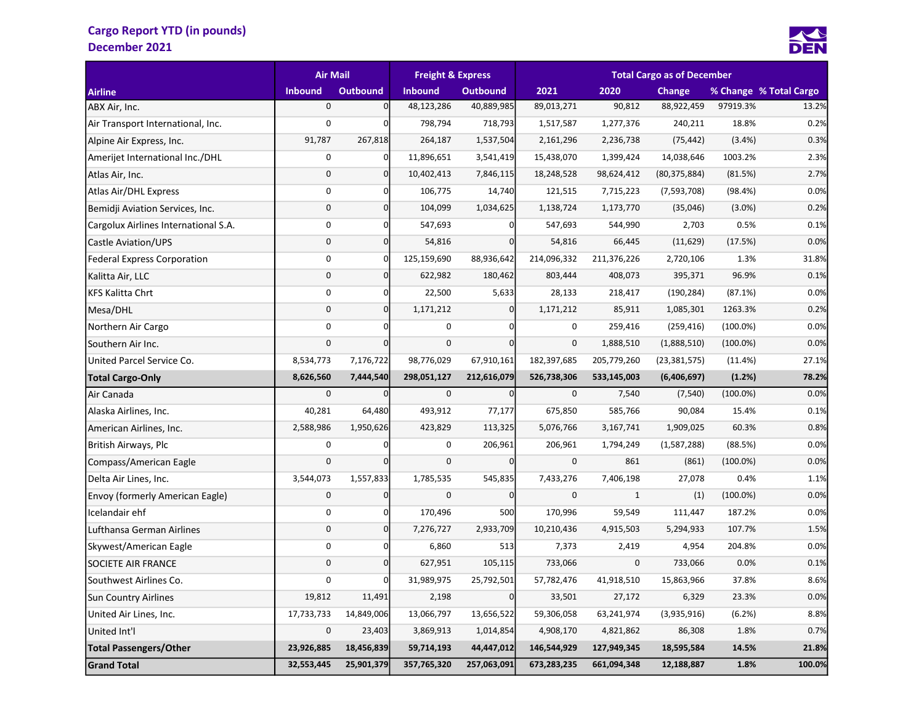## Cargo Report YTD (in pounds) December 2021



|                                      | <b>Air Mail</b> |                 | <b>Freight &amp; Express</b> |                 |             |              | <b>Total Cargo as of December</b> |             |                        |
|--------------------------------------|-----------------|-----------------|------------------------------|-----------------|-------------|--------------|-----------------------------------|-------------|------------------------|
| <b>Airline</b>                       | <b>Inbound</b>  | <b>Outbound</b> | <b>Inbound</b>               | <b>Outbound</b> | 2021        | 2020         | Change                            |             | % Change % Total Cargo |
| ABX Air, Inc.                        | $\mathbf 0$     | $\Omega$        | 48,123,286                   | 40,889,985      | 89,013,271  | 90,812       | 88,922,459                        | 97919.3%    | 13.2%                  |
| Air Transport International, Inc.    | 0               | 0               | 798,794                      | 718,793         | 1,517,587   | 1,277,376    | 240,211                           | 18.8%       | 0.2%                   |
| Alpine Air Express, Inc.             | 91,787          | 267,818         | 264,187                      | 1,537,504       | 2,161,296   | 2,236,738    | (75, 442)                         | (3.4%)      | 0.3%                   |
| Amerijet International Inc./DHL      | 0               | $\Omega$        | 11,896,651                   | 3,541,419       | 15,438,070  | 1,399,424    | 14,038,646                        | 1003.2%     | 2.3%                   |
| Atlas Air, Inc.                      | 0               | $\Omega$        | 10,402,413                   | 7,846,115       | 18,248,528  | 98,624,412   | (80, 375, 884)                    | (81.5%)     | 2.7%                   |
| Atlas Air/DHL Express                | 0               | 0               | 106,775                      | 14,740          | 121,515     | 7,715,223    | (7,593,708)                       | (98.4%)     | 0.0%                   |
| Bemidji Aviation Services, Inc.      | 0               | $\Omega$        | 104,099                      | 1,034,625       | 1,138,724   | 1,173,770    | (35,046)                          | $(3.0\%)$   | 0.2%                   |
| Cargolux Airlines International S.A. | 0               | οI              | 547,693                      |                 | 547,693     | 544,990      | 2,703                             | 0.5%        | 0.1%                   |
| Castle Aviation/UPS                  | 0               | 0               | 54,816                       | 0               | 54,816      | 66,445       | (11, 629)                         | (17.5%)     | 0.0%                   |
| <b>Federal Express Corporation</b>   | 0               | 0               | 125,159,690                  | 88,936,642      | 214,096,332 | 211,376,226  | 2,720,106                         | 1.3%        | 31.8%                  |
| Kalitta Air, LLC                     | $\mathbf 0$     | $\overline{0}$  | 622,982                      | 180,462         | 803,444     | 408,073      | 395,371                           | 96.9%       | 0.1%                   |
| KFS Kalitta Chrt                     | 0               | $\Omega$        | 22,500                       | 5,633           | 28,133      | 218,417      | (190, 284)                        | (87.1%)     | 0.0%                   |
| Mesa/DHL                             | 0               | $\Omega$        | 1,171,212                    |                 | 1,171,212   | 85,911       | 1,085,301                         | 1263.3%     | 0.2%                   |
| Northern Air Cargo                   | 0               | 0               | 0                            |                 | 0           | 259,416      | (259, 416)                        | $(100.0\%)$ | 0.0%                   |
| Southern Air Inc.                    | 0               | $\Omega$        | 0                            | $\Omega$        | 0           | 1,888,510    | (1,888,510)                       | $(100.0\%)$ | 0.0%                   |
| United Parcel Service Co.            | 8,534,773       | 7,176,722       | 98,776,029                   | 67,910,161      | 182,397,685 | 205,779,260  | (23, 381, 575)                    | (11.4%)     | 27.1%                  |
| <b>Total Cargo-Only</b>              | 8,626,560       | 7,444,540       | 298,051,127                  | 212,616,079     | 526,738,306 | 533,145,003  | (6,406,697)                       | (1.2%)      | 78.2%                  |
| Air Canada                           | 0               | n               | $\mathbf 0$                  | $\Omega$        | $\mathbf 0$ | 7,540        | (7, 540)                          | $(100.0\%)$ | 0.0%                   |
| Alaska Airlines, Inc.                | 40,281          | 64,480          | 493,912                      | 77,177          | 675,850     | 585,766      | 90,084                            | 15.4%       | 0.1%                   |
| American Airlines, Inc.              | 2,588,986       | 1,950,626       | 423,829                      | 113,325         | 5,076,766   | 3,167,741    | 1,909,025                         | 60.3%       | 0.8%                   |
| British Airways, Plc                 | 0               | ŋ               | 0                            | 206,961         | 206,961     | 1,794,249    | (1,587,288)                       | (88.5%)     | 0.0%                   |
| Compass/American Eagle               | 0               | ŋ               | 0                            |                 | $\mathbf 0$ | 861          | (861)                             | $(100.0\%)$ | 0.0%                   |
| Delta Air Lines, Inc.                | 3,544,073       | 1,557,833       | 1,785,535                    | 545,835         | 7,433,276   | 7,406,198    | 27,078                            | 0.4%        | 1.1%                   |
| Envoy (formerly American Eagle)      | 0               | 0               | 0                            | $\Omega$        | 0           | $\mathbf{1}$ | (1)                               | $(100.0\%)$ | 0.0%                   |
| Icelandair ehf                       | 0               | 0               | 170,496                      | 500             | 170,996     | 59,549       | 111,447                           | 187.2%      | 0.0%                   |
| Lufthansa German Airlines            | $\mathbf 0$     | οI              | 7,276,727                    | 2,933,709       | 10,210,436  | 4,915,503    | 5,294,933                         | 107.7%      | 1.5%                   |
| Skywest/American Eagle               | 0               | οı              | 6,860                        | 513             | 7,373       | 2,419        | 4,954                             | 204.8%      | 0.0%                   |
| <b>SOCIETE AIR FRANCE</b>            | $\pmb{0}$       | οI              | 627,951                      | 105,115         | 733,066     | 0            | 733,066                           | 0.0%        | 0.1%                   |
| Southwest Airlines Co.               | 0               | οI              | 31,989,975                   | 25,792,501      | 57,782,476  | 41,918,510   | 15,863,966                        | 37.8%       | 8.6%                   |
| Sun Country Airlines                 | 19,812          | 11,491          | 2,198                        | 0               | 33,501      | 27,172       | 6,329                             | 23.3%       | 0.0%                   |
| United Air Lines, Inc.               | 17,733,733      | 14,849,006      | 13,066,797                   | 13,656,522      | 59,306,058  | 63,241,974   | (3,935,916)                       | (6.2%)      | 8.8%                   |
| United Int'l                         | 0               | 23,403          | 3,869,913                    | 1,014,854       | 4,908,170   | 4,821,862    | 86,308                            | 1.8%        | 0.7%                   |
| <b>Total Passengers/Other</b>        | 23,926,885      | 18,456,839      | 59,714,193                   | 44,447,012      | 146,544,929 | 127,949,345  | 18,595,584                        | 14.5%       | 21.8%                  |
| <b>Grand Total</b>                   | 32,553,445      | 25,901,379      | 357,765,320                  | 257,063,091     | 673,283,235 | 661,094,348  | 12,188,887                        | 1.8%        | 100.0%                 |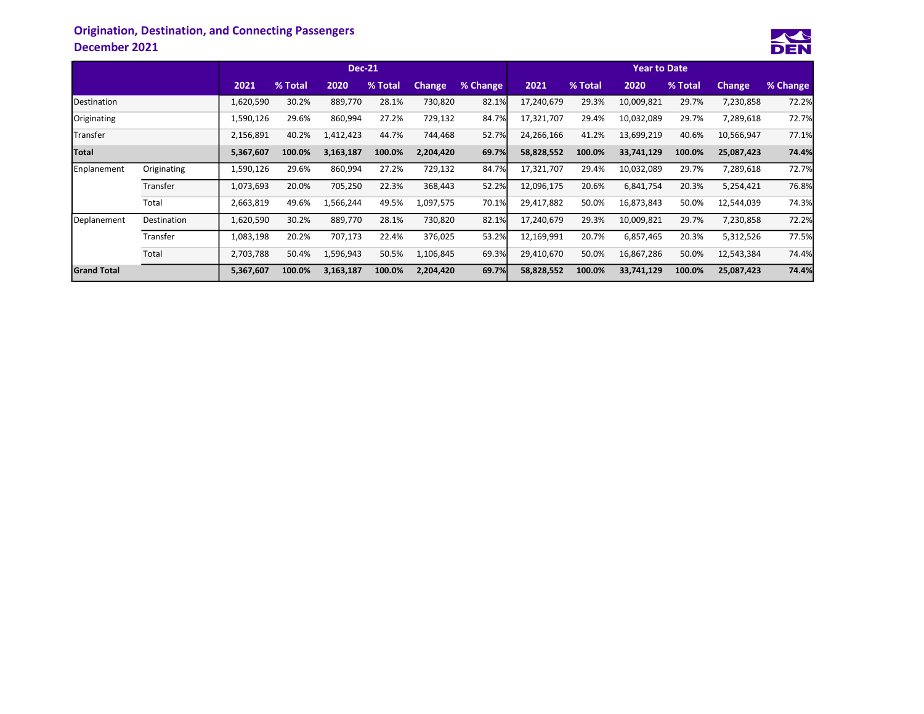## Origination, Destination, and Connecting Passengers December 2021



|                    |             |           |         | <b>Dec-21</b> |         |               |          | <b>Year to Date</b> |         |            |         |               |          |  |  |
|--------------------|-------------|-----------|---------|---------------|---------|---------------|----------|---------------------|---------|------------|---------|---------------|----------|--|--|
|                    |             | 2021      | % Total | 2020          | % Total | <b>Change</b> | % Change | 2021                | % Total | 2020       | % Total | <b>Change</b> | % Change |  |  |
| Destination        |             | 1,620,590 | 30.2%   | 889,770       | 28.1%   | 730,820       | 82.1%    | 17,240,679          | 29.3%   | 10,009,821 | 29.7%   | 7,230,858     | 72.2%    |  |  |
| Originating        |             | 1,590,126 | 29.6%   | 860,994       | 27.2%   | 729,132       | 84.7%    | 17,321,707          | 29.4%   | 10,032,089 | 29.7%   | 7,289,618     | 72.7%    |  |  |
| Transfer           |             | 2,156,891 | 40.2%   | 1,412,423     | 44.7%   | 744,468       | 52.7%    | 24,266,166          | 41.2%   | 13,699,219 | 40.6%   | 10,566,947    | 77.1%    |  |  |
| <b>Total</b>       |             | 5,367,607 | 100.0%  | 3,163,187     | 100.0%  | 2,204,420     | 69.7%    | 58,828,552          | 100.0%  | 33,741,129 | 100.0%  | 25,087,423    | 74.4%    |  |  |
| Enplanement        | Originating | 1,590,126 | 29.6%   | 860,994       | 27.2%   | 729,132       | 84.7%    | 17,321,707          | 29.4%   | 10,032,089 | 29.7%   | 7,289,618     | 72.7%    |  |  |
|                    | Transfer    | 1,073,693 | 20.0%   | 705,250       | 22.3%   | 368,443       | 52.2%    | 12,096,175          | 20.6%   | 6,841,754  | 20.3%   | 5,254,421     | 76.8%    |  |  |
|                    | Total       | 2,663,819 | 49.6%   | 1,566,244     | 49.5%   | 1,097,575     | 70.1%    | 29,417,882          | 50.0%   | 16,873,843 | 50.0%   | 12,544,039    | 74.3%    |  |  |
| Deplanement        | Destination | 1,620,590 | 30.2%   | 889,770       | 28.1%   | 730,820       | 82.1%    | 17,240,679          | 29.3%   | 10,009,821 | 29.7%   | 7,230,858     | 72.2%    |  |  |
|                    | Transfer    | 1,083,198 | 20.2%   | 707,173       | 22.4%   | 376,025       | 53.2%    | 12,169,991          | 20.7%   | 6,857,465  | 20.3%   | 5,312,526     | 77.5%    |  |  |
|                    | Total       | 2,703,788 | 50.4%   | 1,596,943     | 50.5%   | 1,106,845     | 69.3%    | 29,410,670          | 50.0%   | 16,867,286 | 50.0%   | 12,543,384    | 74.4%    |  |  |
| <b>Grand Total</b> |             | 5,367,607 | 100.0%  | 3,163,187     | 100.0%  | 2,204,420     | 69.7%    | 58,828,552          | 100.0%  | 33,741,129 | 100.0%  | 25,087,423    | 74.4%    |  |  |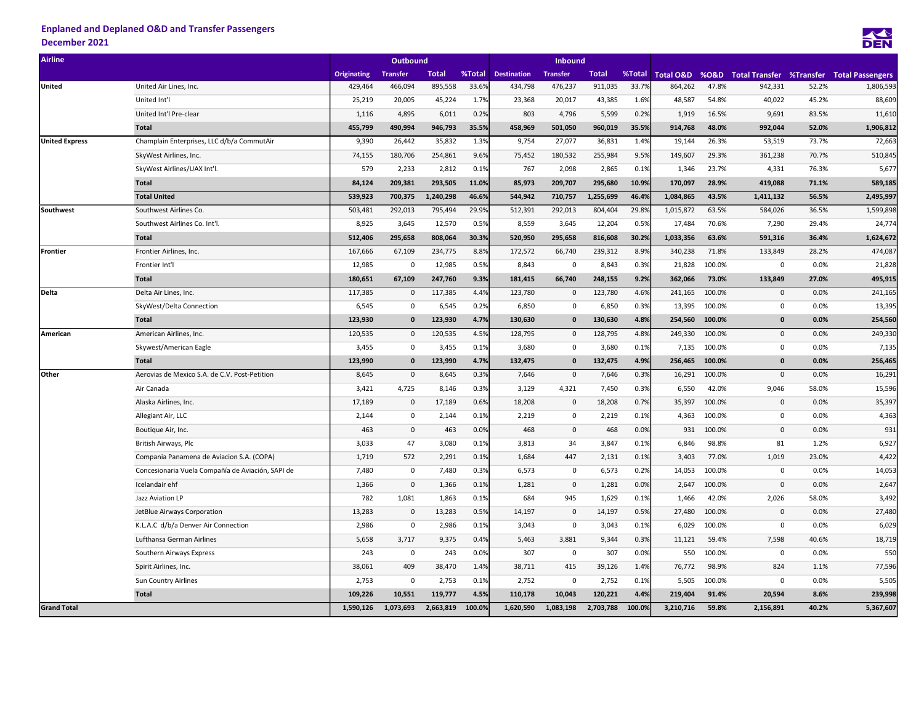### Enplaned and Deplaned O&D and Transfer Passengers December 2021



| <b>Airline</b>        |                                                   |                    | <b>Outbound</b> |              |        |                    | <b>Inbound</b>  |              |        |                      |        |              |       |                                                |
|-----------------------|---------------------------------------------------|--------------------|-----------------|--------------|--------|--------------------|-----------------|--------------|--------|----------------------|--------|--------------|-------|------------------------------------------------|
|                       |                                                   | <b>Originating</b> | <b>Transfer</b> | <b>Total</b> | %Total | <b>Destination</b> | <b>Transfer</b> | <b>Total</b> | %Total | <b>Total O&amp;D</b> |        |              |       | %O&D Total Transfer %Transfer Total Passengers |
| <b>United</b>         | United Air Lines, Inc.                            | 429,464            | 466,094         | 895,558      | 33.6%  | 434,798            | 476,237         | 911,035      | 33.7%  | 864,262              | 47.8%  | 942,331      | 52.2% | 1,806,593                                      |
|                       | United Int'l                                      | 25,219             | 20,005          | 45,224       | 1.7%   | 23,368             | 20,017          | 43,385       | 1.6%   | 48,587               | 54.8%  | 40,022       | 45.2% | 88,609                                         |
|                       | United Int'l Pre-clear                            | 1,116              | 4,895           | 6,011        | 0.2%   | 803                | 4,796           | 5,599        | 0.2%   | 1,919                | 16.5%  | 9,691        | 83.5% | 11,610                                         |
|                       | <b>Total</b>                                      | 455,799            | 490,994         | 946,793      | 35.5%  | 458,969            | 501,050         | 960,019      | 35.5%  | 914,768              | 48.0%  | 992,044      | 52.0% | 1,906,812                                      |
| <b>United Express</b> | Champlain Enterprises, LLC d/b/a CommutAir        | 9,390              | 26,442          | 35,832       | 1.3%   | 9,754              | 27,077          | 36,831       | 1.4%   | 19,144               | 26.3%  | 53,519       | 73.7% | 72,663                                         |
|                       | SkyWest Airlines, Inc.                            | 74,155             | 180,706         | 254,861      | 9.6%   | 75,452             | 180,532         | 255,984      | 9.5%   | 149,607              | 29.3%  | 361,238      | 70.7% | 510,845                                        |
|                       | SkyWest Airlines/UAX Int'l.                       | 579                | 2,233           | 2,812        | 0.1%   | 767                | 2,098           | 2,865        | 0.1%   | 1,346                | 23.7%  | 4,331        | 76.3% | 5,677                                          |
|                       | <b>Total</b>                                      | 84,124             | 209,381         | 293,505      | 11.0%  | 85,973             | 209,707         | 295,680      | 10.9%  | 170,097              | 28.9%  | 419,088      | 71.1% | 589,185                                        |
|                       | <b>Total United</b>                               | 539,923            | 700,375         | 1,240,298    | 46.6%  | 544,942            | 710,757         | 1,255,699    | 46.4%  | 1,084,865            | 43.5%  | 1,411,132    | 56.5% | 2,495,997                                      |
| Southwest             | Southwest Airlines Co.                            | 503,481            | 292,013         | 795,494      | 29.9%  | 512,391            | 292,013         | 804,404      | 29.8%  | 1,015,872            | 63.5%  | 584,026      | 36.5% | 1,599,898                                      |
|                       | Southwest Airlines Co. Int'l.                     | 8,925              | 3,645           | 12,570       | 0.5%   | 8,559              | 3,645           | 12,204       | 0.5%   | 17,484               | 70.6%  | 7,290        | 29.4% | 24,774                                         |
|                       | <b>Total</b>                                      | 512,406            | 295,658         | 808,064      | 30.3%  | 520,950            | 295,658         | 816,608      | 30.2%  | 1,033,356            | 63.6%  | 591,316      | 36.4% | 1,624,672                                      |
| <b>Frontier</b>       | Frontier Airlines, Inc.                           | 167,666            | 67,109          | 234,775      | 8.8%   | 172,572            | 66,740          | 239,312      | 8.9%   | 340,238              | 71.8%  | 133,849      | 28.2% | 474,087                                        |
|                       | Frontier Int'l                                    | 12,985             | $\mathbf 0$     | 12,985       | 0.5%   | 8,843              | $\mathbf 0$     | 8,843        | 0.3%   | 21,828               | 100.0% | 0            | 0.0%  | 21,828                                         |
|                       | <b>Total</b>                                      | 180,651            | 67,109          | 247,760      | 9.3%   | 181,415            | 66,740          | 248,155      | 9.2%   | 362,066              | 73.0%  | 133,849      | 27.0% | 495,915                                        |
| <b>Delta</b>          | Delta Air Lines, Inc.                             | 117,385            | $\mathsf 0$     | 117,385      | 4.4%   | 123,780            | $\mathsf 0$     | 123,780      | 4.6%   | 241,165              | 100.0% | $\mathbf 0$  | 0.0%  | 241,165                                        |
|                       | SkyWest/Delta Connection                          | 6,545              | $\mathsf 0$     | 6,545        | 0.2%   | 6,850              | $\mathbf 0$     | 6,850        | 0.3%   | 13,395               | 100.0% | $\mathsf 0$  | 0.0%  | 13,395                                         |
|                       | <b>Total</b>                                      | 123,930            | $\mathbf{0}$    | 123,930      | 4.7%   | 130,630            | $\mathbf{0}$    | 130,630      | 4.8%   | 254,560              | 100.0% | $\mathbf{0}$ | 0.0%  | 254,560                                        |
| American              | American Airlines, Inc.                           | 120,535            | $\mathbf 0$     | 120,535      | 4.5%   | 128,795            | $\mathbf{0}$    | 128,795      | 4.8%   | 249,330              | 100.0% | $\mathbf 0$  | 0.0%  | 249,330                                        |
|                       | Skywest/American Eagle                            | 3,455              | $\mathsf 0$     | 3,455        | 0.1%   | 3,680              | $\mathbf{0}$    | 3,680        | 0.1%   | 7,135                | 100.0% | $\mathbf 0$  | 0.0%  | 7,135                                          |
|                       | <b>Total</b>                                      | 123,990            | $\mathbf 0$     | 123,990      | 4.7%   | 132,475            | $\mathbf{0}$    | 132,475      | 4.9%   | 256,465              | 100.0% | $\mathbf{0}$ | 0.0%  | 256,465                                        |
| Other                 | Aerovias de Mexico S.A. de C.V. Post-Petition     | 8,645              | $\mathbf 0$     | 8,645        | 0.3%   | 7,646              | $\mathsf 0$     | 7,646        | 0.3%   | 16,291               | 100.0% | $\mathsf{O}$ | 0.0%  | 16,291                                         |
|                       | Air Canada                                        | 3,421              | 4,725           | 8,146        | 0.3%   | 3,129              | 4,321           | 7,450        | 0.3%   | 6,550                | 42.0%  | 9,046        | 58.0% | 15,596                                         |
|                       | Alaska Airlines, Inc.                             | 17,189             | $\mathbf 0$     | 17,189       | 0.6%   | 18,208             | $\mathsf 0$     | 18,208       | 0.7%   | 35,397               | 100.0% | $\mathbf 0$  | 0.0%  | 35,397                                         |
|                       | Allegiant Air, LLC                                | 2,144              | $\mathbf 0$     | 2,144        | 0.1%   | 2,219              | $\mathbf 0$     | 2,219        | 0.1%   | 4,363                | 100.0% | $\mathbf 0$  | 0.0%  | 4,363                                          |
|                       | Boutique Air, Inc.                                | 463                | $\mathsf 0$     | 463          | 0.0%   | 468                | $\mathsf 0$     | 468          | 0.0%   | 931                  | 100.0% | $\mathbf 0$  | 0.0%  | 931                                            |
|                       | British Airways, Plc                              | 3,033              | 47              | 3,080        | 0.1%   | 3,813              | 34              | 3,847        | 0.1%   | 6,846                | 98.8%  | 81           | 1.2%  | 6,927                                          |
|                       | Compania Panamena de Aviacion S.A. (COPA)         | 1,719              | 572             | 2,291        | 0.1%   | 1,684              | 447             | 2,131        | 0.1%   | 3,403                | 77.0%  | 1,019        | 23.0% | 4,422                                          |
|                       | Concesionaria Vuela Compañía de Aviación, SAPI de | 7,480              | $\mathsf 0$     | 7,480        | 0.3%   | 6,573              | $\mathbf 0$     | 6,573        | 0.2%   | 14,053               | 100.0% | 0            | 0.0%  | 14,053                                         |
|                       | Icelandair ehf                                    | 1,366              | $\mathbf 0$     | 1,366        | 0.1%   | 1,281              | $\mathbf 0$     | 1,281        | 0.0%   | 2,647                | 100.0% | $\mathsf 0$  | 0.0%  | 2,647                                          |
|                       | Jazz Aviation LP                                  | 782                | 1,081           | 1,863        | 0.1%   | 684                | 945             | 1,629        | 0.1%   | 1,466                | 42.0%  | 2,026        | 58.0% | 3,492                                          |
|                       | JetBlue Airways Corporation                       | 13,283             | $\mathbf 0$     | 13,283       | 0.5%   | 14,197             | $\mathsf 0$     | 14,197       | 0.5%   | 27,480               | 100.0% | $\mathbf 0$  | 0.0%  | 27,480                                         |
|                       | K.L.A.C d/b/a Denver Air Connection               | 2,986              | $\mathbf 0$     | 2,986        | 0.1%   | 3,043              | $\mathbf 0$     | 3,043        | 0.1%   | 6,029                | 100.0% | 0            | 0.0%  | 6,029                                          |
|                       | Lufthansa German Airlines                         | 5,658              | 3,717           | 9,375        | 0.4%   | 5,463              | 3,881           | 9,344        | 0.3%   | 11,121               | 59.4%  | 7,598        | 40.6% | 18,719                                         |
|                       | Southern Airways Express                          | 243                | $\pmb{0}$       | 243          | 0.0%   | 307                | $\mathbf 0$     | 307          | 0.0%   | 550                  | 100.0% | 0            | 0.0%  | 550                                            |
|                       | Spirit Airlines, Inc.                             | 38,061             | 409             | 38,470       | 1.4%   | 38,711             | 415             | 39,126       | 1.4%   | 76,772               | 98.9%  | 824          | 1.1%  | 77,596                                         |
|                       | <b>Sun Country Airlines</b>                       | 2,753              | $\mathbf 0$     | 2,753        | 0.1%   | 2,752              | $\mathbf 0$     | 2,752        | 0.1%   | 5,505                | 100.0% | $\mathsf 0$  | 0.0%  | 5,505                                          |
|                       | <b>Total</b>                                      | 109,226            | 10,551          | 119,777      | 4.5%   | 110,178            | 10,043          | 120,221      | 4.4%   | 219,404              | 91.4%  | 20,594       | 8.6%  | 239,998                                        |
| <b>Grand Total</b>    |                                                   | 1,590,126          | 1,073,693       | 2,663,819    | 100.0% | 1,620,590          | 1,083,198       | 2,703,788    | 100.0% | 3,210,716            | 59.8%  | 2.156.891    | 40.2% | 5,367,607                                      |